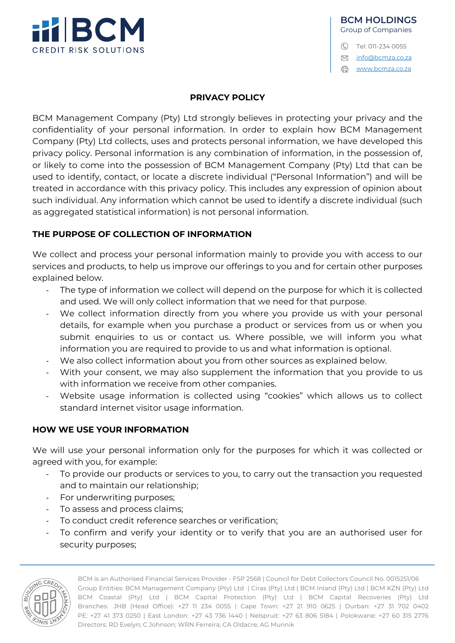

info@bcmza.co.za

www.bcmza.co.za

#### **PRIVACY POLICY**

BCM Management Company (Pty) Ltd strongly believes in protecting your privacy and the confidentiality of your personal information. In order to explain how BCM Management Company (Pty) Ltd collects, uses and protects personal information, we have developed this privacy policy. Personal information is any combination of information, in the possession of, or likely to come into the possession of BCM Management Company (Pty) Ltd that can be used to identify, contact, or locate a discrete individual ("Personal Information") and will be treated in accordance with this privacy policy. This includes any expression of opinion about such individual. Any information which cannot be used to identify a discrete individual (such as aggregated statistical information) is not personal information.

### **THE PURPOSE OF COLLECTION OF INFORMATION**

We collect and process your personal information mainly to provide you with access to our services and products, to help us improve our offerings to you and for certain other purposes explained below.

- The type of information we collect will depend on the purpose for which it is collected and used. We will only collect information that we need for that purpose.
- We collect information directly from you where you provide us with your personal details, for example when you purchase a product or services from us or when you submit enquiries to us or contact us. Where possible, we will inform you what information you are required to provide to us and what information is optional.
- We also collect information about you from other sources as explained below.
- With your consent, we may also supplement the information that you provide to us with information we receive from other companies.
- Website usage information is collected using "cookies" which allows us to collect standard internet visitor usage information.

## **HOW WE USE YOUR INFORMATION**

We will use your personal information only for the purposes for which it was collected or agreed with you, for example:

- To provide our products or services to you, to carry out the transaction you requested and to maintain our relationship;
- For underwriting purposes;
- To assess and process claims:
- To conduct credit reference searches or verification;
- To confirm and verify your identity or to verify that you are an authorised user for security purposes;



BCM is an Authorised Financial Services Provider - FSP 2568 | Council for Debt Collectors Council No. 0015251/06 Group Entities: BCM Management Company (Pty) Ltd | Ciras (Pty) Ltd | BCM Inland (Pty) Ltd | BCM KZN (Pty) Ltd BCM Coastal (Pty) Ltd | BCM Capital Protection (Pty) Ltd | BCM Capital Recoveries (Pty) Ltd Branches: JHB (Head Office): +27 11 234 0055 | Cape Town: +27 21 910 0625 | Durban: +27 31 702 0402 PE: +27 41 373 0250 | East London: +27 43 736 1440 | Nelspruit: +27 63 806 5184 | Polokwane: +27 60 315 2776 Directors: RD Evelyn; C Johnson; WRN Ferreira; CA Oldacre; AG Munnik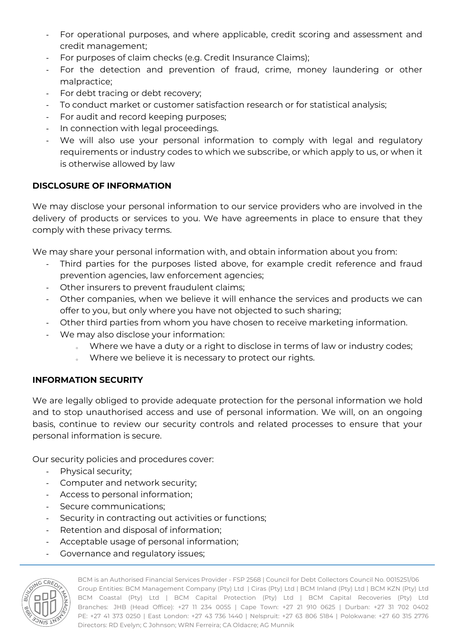- For operational purposes, and where applicable, credit scoring and assessment and credit management;
- For purposes of claim checks (e.g. Credit Insurance Claims);
- For the detection and prevention of fraud, crime, money laundering or other malpractice;
- For debt tracing or debt recovery;
- To conduct market or customer satisfaction research or for statistical analysis;
- For audit and record keeping purposes:
- In connection with legal proceedings.
- We will also use your personal information to comply with legal and regulatory requirements or industry codes to which we subscribe, or which apply to us, or when it is otherwise allowed by law

# **DISCLOSURE OF INFORMATION**

We may disclose your personal information to our service providers who are involved in the delivery of products or services to you. We have agreements in place to ensure that they comply with these privacy terms.

We may share your personal information with, and obtain information about you from:

- Third parties for the purposes listed above, for example credit reference and fraud prevention agencies, law enforcement agencies;
- Other insurers to prevent fraudulent claims;
- Other companies, when we believe it will enhance the services and products we can offer to you, but only where you have not objected to such sharing;
- Other third parties from whom you have chosen to receive marketing information.
- We may also disclose your information:
	- o Where we have a duty or a right to disclose in terms of law or industry codes;
	- o Where we believe it is necessary to protect our rights.

## **INFORMATION SECURITY**

We are legally obliged to provide adequate protection for the personal information we hold and to stop unauthorised access and use of personal information. We will, on an ongoing basis, continue to review our security controls and related processes to ensure that your personal information is secure.

Our security policies and procedures cover:

- Physical security;
- Computer and network security;
- Access to personal information;
- Secure communications;
- Security in contracting out activities or functions;
- Retention and disposal of information;
- Acceptable usage of personal information;
- Governance and regulatory issues;



BCM is an Authorised Financial Services Provider - FSP 2568 | Council for Debt Collectors Council No. 0015251/06 Group Entities: BCM Management Company (Pty) Ltd | Ciras (Pty) Ltd | BCM Inland (Pty) Ltd | BCM KZN (Pty) Ltd BCM Coastal (Pty) Ltd | BCM Capital Protection (Pty) Ltd | BCM Capital Recoveries (Pty) Ltd Branches: JHB (Head Office): +27 11 234 0055 | Cape Town: +27 21 910 0625 | Durban: +27 31 702 0402 PE: +27 41 373 0250 | East London: +27 43 736 1440 | Nelspruit: +27 63 806 5184 | Polokwane: +27 60 315 2776 Directors: RD Evelyn; C Johnson; WRN Ferreira; CA Oldacre; AG Munnik